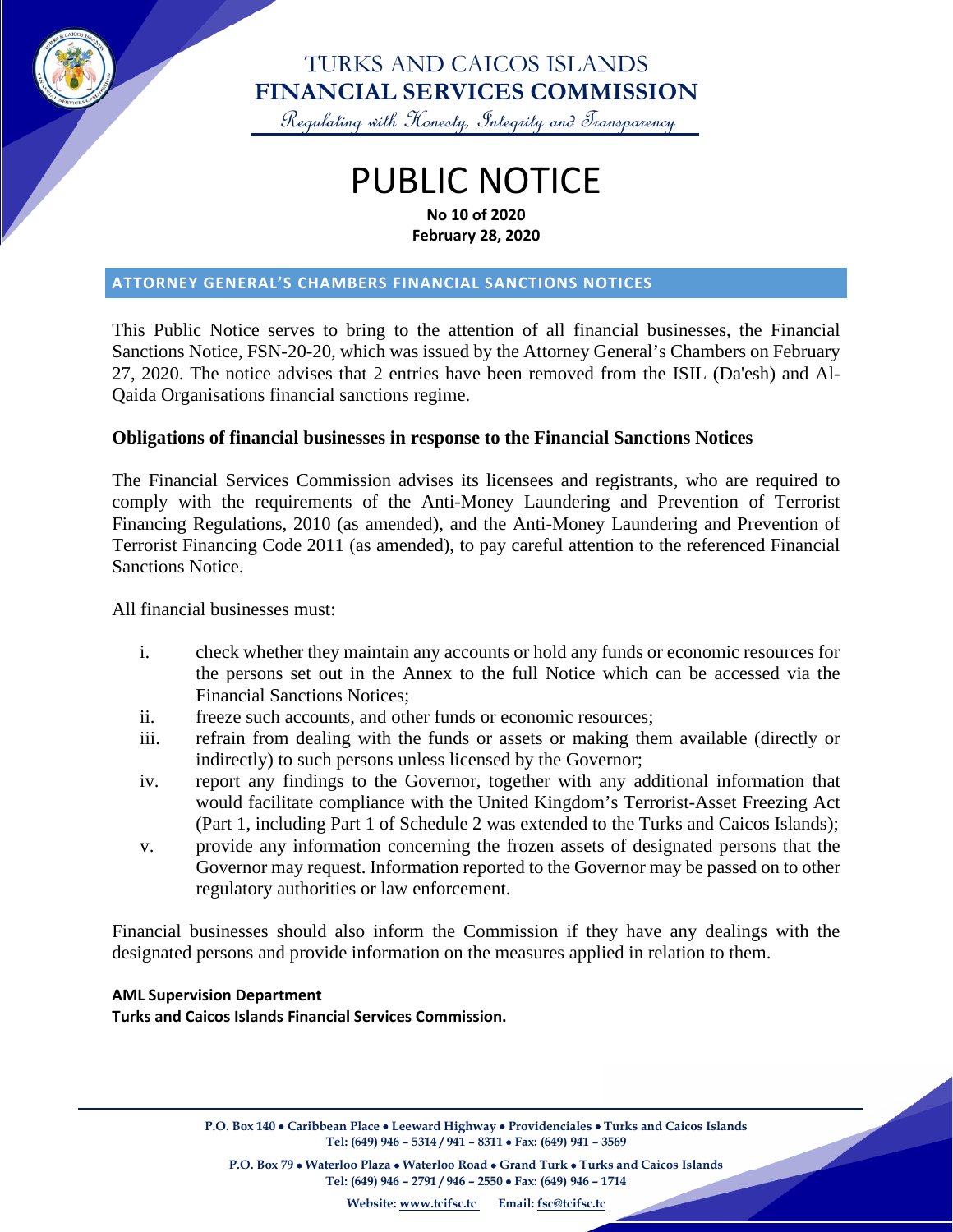

### TURKS AND CAICOS ISLANDS **FINANCIAL SERVICES COMMISSION**

Regulating with Honesty, Integrity and Transparency

# PUBLIC NOTICE **No 10 of 2020**

**February 28, 2020**

#### **ATTORNEY GENERAL'S CHAMBERS FINANCIAL SANCTIONS NOTICES**

This Public Notice serves to bring to the attention of all financial businesses, the Financial Sanctions Notice, FSN-20-20, which was issued by the Attorney General's Chambers on February 27, 2020. The notice advises that 2 entries have been removed from the ISIL (Da'esh) and Al-Qaida Organisations financial sanctions regime.

#### **Obligations of financial businesses in response to the Financial Sanctions Notices**

The Financial Services Commission advises its licensees and registrants, who are required to comply with the requirements of the Anti-Money Laundering and Prevention of Terrorist Financing Regulations, 2010 (as amended), and the Anti-Money Laundering and Prevention of Terrorist Financing Code 2011 (as amended), to pay careful attention to the referenced Financial Sanctions Notice.

All financial businesses must:

- i. check whether they maintain any accounts or hold any funds or economic resources for the persons set out in the Annex to the full Notice which can be accessed via the Financial Sanctions Notices;
- ii. freeze such accounts, and other funds or economic resources;
- iii. refrain from dealing with the funds or assets or making them available (directly or indirectly) to such persons unless licensed by the Governor;
- iv. report any findings to the Governor, together with any additional information that would facilitate compliance with the United Kingdom's Terrorist-Asset Freezing Act (Part 1, including Part 1 of Schedule 2 was extended to the Turks and Caicos Islands);
- v. provide any information concerning the frozen assets of designated persons that the Governor may request. Information reported to the Governor may be passed on to other regulatory authorities or law enforcement.

Financial businesses should also inform the Commission if they have any dealings with the designated persons and provide information on the measures applied in relation to them.

#### **AML Supervision Department**

**Turks and Caicos Islands Financial Services Commission.** 

**P.O. Box 140** • **Caribbean Place** • **Leeward Highway** • **Providenciales** • **Turks and Caicos Islands Tel: (649) 946 – 5314 / 941 – 8311** • **Fax: (649) 941 – 3569**

**P.O. Box 79** • **Waterloo Plaza** • **Waterloo Road** • **Grand Turk** • **Turks and Caicos Islands Tel: (649) 946 – 2791 / 946 – 2550** • **Fax: (649) 946 – 1714**

**Website: [www.tcifsc.tc](http://www.tcifsc.tc/) Email[: fsc@tcifsc.tc](mailto:fsc@tcifsc.tc)**